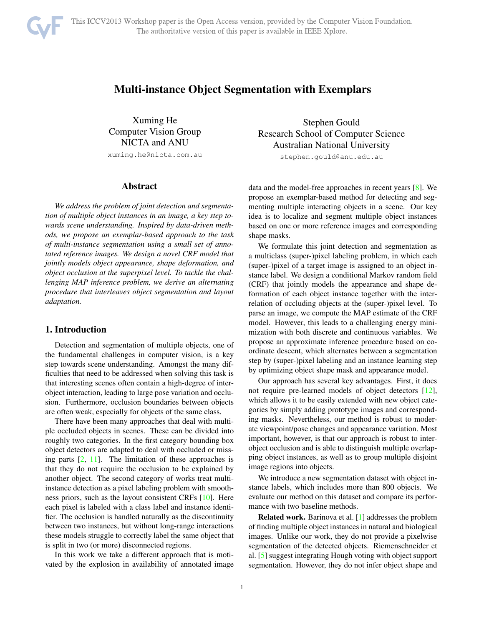# Multi-instance Object Segmentation with Exemplars

Xuming He Computer Vision Group NICTA and ANU

xuming.he@nicta.com.au

# Abstract

*We address the problem of joint detection and segmentation of multiple object instances in an image, a key step towards scene understanding. Inspired by data-driven methods, we propose an exemplar-based approach to the task of multi-instance segmentation using a small set of annotated reference images. We design a novel CRF model that jointly models object appearance, shape deformation, and object occlusion at the superpixel level. To tackle the challenging MAP inference problem, we derive an alternating procedure that interleaves object segmentation and layout adaptation.*

# 1. Introduction

Detection and segmentation of multiple objects, one of the fundamental challenges in computer vision, is a key step towards scene understanding. Amongst the many difficulties that need to be addressed when solving this task is that interesting scenes often contain a high-degree of interobject interaction, leading to large pose variation and occlusion. Furthermore, occlusion boundaries between objects are often weak, especially for objects of the same class.

There have been many approaches that deal with multiple occluded objects in scenes. These can be divided into roughly two categories. In the first category bounding box object detectors are adapted to deal with occluded or missing parts  $[2, 11]$ . The limitation of these approaches is that they do not require the occlusion to be explained by another object. The second category of works treat multiinstance detection as a pixel labeling problem with smoothness priors, such as the layout consistent CRFs [10]. Here each pixel is labeled with a class label and instance identifier. The occlusion is handled naturally as the discontinuity between two instances, but without long-range interactions these models struggle to correctly label the same object that is split in two (or more) disconnected regions.

In this work we take a different approach that is motivated by the explosion in availability of annotated image

Stephen Gould Research School of Computer Science Australian National University

stephen.gould@anu.edu.au

data and the model-free approaches in recent years [8]. We propose an exemplar-based method for detecting and segmenting multiple interacting objects in a scene. Our key idea is to localize and segment multiple object instances based on one or more reference images and corresponding shape masks.

We formulate this joint detection and segmentation as a multiclass (super-)pixel labeling problem, in which each (super-)pixel of a target image is assigned to an object instance label. We design a conditional Markov random field (CRF) that jointly models the appearance and shape deformation of each object instance together with the interrelation of occluding objects at the (super-)pixel level. To parse an image, we compute the MAP estimate of the CRF model. However, this leads to a challenging energy minimization with both discrete and continuous variables. We propose an approximate inference procedure based on coordinate descent, which alternates between a segmentation step by (super-)pixel labeling and an instance learning step by optimizing object shape mask and appearance model.

Our approach has several key advantages. First, it does not require pre-learned models of object detectors [12], which allows it to be easily extended with new object categories by simply adding prototype images and corresponding masks. Nevertheless, our method is robust to moderate viewpoint/pose changes and appearance variation. Most important, however, is that our approach is robust to interobject occlusion and is able to distinguish multiple overlapping object instances, as well as to group multiple disjoint image regions into objects.

We introduce a new segmentation dataset with object instance labels, which includes more than 800 objects. We evaluate our method on this dataset and compare its performance with two baseline methods.

Related work. Barinova et al. [1] addresses the problem of finding multiple object instances in natural and biological images. Unlike our work, they do not provide a pixelwise segmentation of the detected objects. Riemenschneider et al. [5] suggest integrating Hough voting with object support segmentation. However, they do not infer object shape and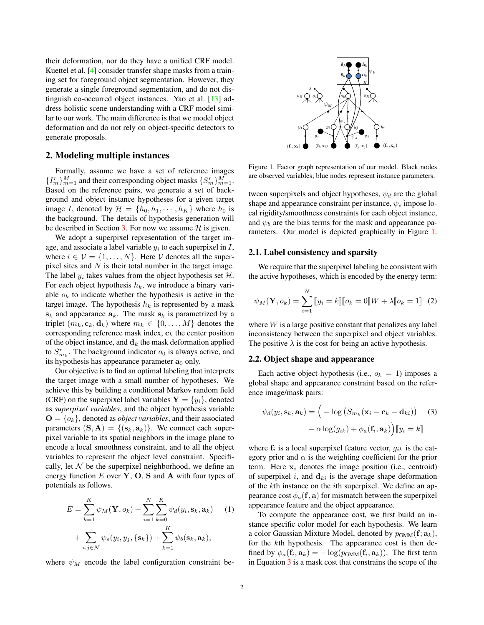their deformation, nor do they have a unified CRF model. Kuettel et al. [4] consider transfer shape masks from a training set for foreground object segmentation. However, they generate a single foreground segmentation, and do not distinguish co-occurred object instances. Yao et al. [13] address holistic scene understanding with a CRF model similar to our work. The main difference is that we model object deformation and do not rely on object-specific detectors to generate proposals.

# 2. Modeling multiple instances

Formally, assume we have a set of reference images  ${I_r \atop m \text{mod}}}$  and their corresponding object masks  ${S_r \atop m=1}$ .<br>Based on the reference pairs, we generate a set of back-Based on the reference pairs, we generate a set of background and object instance hypotheses for a given target image I, denoted by  $\mathcal{H} = \{h_0, h_1, \dots, h_K\}$  where  $h_0$  is the background. The details of hypothesis generation will be described in Section 3. For now we assume  $H$  is given.

We adopt a superpixel representation of the target image, and associate a label variable  $y_i$  to each superpixel in  $I$ , where  $i \in \mathcal{V} = \{1, \ldots, N\}$ . Here V denotes all the superpixel sites and  $N$  is their total number in the target image. The label  $y_i$  takes values from the object hypothesis set  $H$ . For each object hypothesis  $h_k$ , we introduce a binary variable  $o_k$  to indicate whether the hypothesis is active in the target image. The hypothesis  $h_k$  is represented by a mask  $\mathbf{s}_k$  and appearance  $\mathbf{a}_k$ . The mask  $\mathbf{s}_k$  is parametrized by a triplet  $(m_k, \mathbf{c}_k, \mathbf{d}_k)$  where  $m_k \in \{0, \ldots, M\}$  denotes the corresponding reference mask index,  $\mathbf{c}_k$  the center position of the object instance, and  $\mathbf{d}_k$  the mask deformation applied to  $S_{m_k}^r$ . The background indicator  $o_0$  is always active, and its bypothesis has annearance parameter  $\mathbf{a}_0$  only its hypothesis has appearance parameter  $\mathbf{a}_0$  only.

Our objective is to find an optimal labeling that interprets the target image with a small number of hypotheses. We achieve this by building a conditional Markov random field (CRF) on the superpixel label variables  $Y = \{y_i\}$ , denoted as *superpixel variables*, and the object hypothesis variable  $\mathbf{O} = \{o_k\}$ , denoted as *object variables*, and their associated parameters  $({\bf S}, {\bf A}) = \{({\bf s}_k, {\bf a}_k)\}\$ . We connect each superpixel variable to its spatial neighbors in the image plane to encode a local smoothness constraint, and to all the object variables to represent the object level constraint. Specifically, let  $\mathcal N$  be the superpixel neighborhood, we define an energy function E over **<sup>Y</sup>**, **<sup>O</sup>**, **<sup>S</sup>** and **<sup>A</sup>** with four types of potentials as follows.

$$
E = \sum_{k=1}^{K} \psi_M(\mathbf{Y}, o_k) + \sum_{i=1}^{N} \sum_{k=0}^{K} \psi_d(y_i, \mathbf{s}_k, \mathbf{a}_k)
$$
 (1)  
+ 
$$
\sum_{i,j \in \mathcal{N}} \psi_s(y_i, y_j, \{\mathbf{s}_k\}) + \sum_{k=1}^{K} \psi_b(\mathbf{s}_k, \mathbf{a}_k),
$$

where  $\psi_M$  encode the label configuration constraint be-



Figure 1. Factor graph representation of our model. Black nodes are observed variables; blue nodes represent instance parameters.

tween superpixels and object hypotheses,  $\psi_d$  are the global shape and appearance constraint per instance,  $\psi_s$  impose local rigidity/smoothness constraints for each object instance, and  $\psi_b$  are the bias terms for the mask and appearance parameters. Our model is depicted graphically in Figure 1.

### 2.1. Label consistency and sparsity

We require that the superpixel labeling be consistent with the active hypotheses, which is encoded by the energy term:

$$
\psi_M(\mathbf{Y}, o_k) = \sum_{i=1}^N [z_i = k] [o_k = 0] W + \lambda [o_k = 1] \tag{2}
$$

where  $W$  is a large positive constant that penalizes any label inconsistency between the superpixel and object variables. The positive  $\lambda$  is the cost for being an active hypothesis.

#### 2.2. Object shape and appearance

Each active object hypothesis (i.e.,  $o_k = 1$ ) imposes a global shape and appearance constraint based on the reference image/mask pairs:

$$
\psi_d(y_i, \mathbf{s}_k, \mathbf{a}_k) = \left( -\log \left( S_{m_k}(\mathbf{x}_i - \mathbf{c}_k - \mathbf{d}_{ki}) \right) \right)
$$

$$
- \alpha \log(g_{ik}) + \phi_a(\mathbf{f}_i, \mathbf{a}_k) \right) [y_i = k]
$$
(3)

where  $f_i$  is a local superpixel feature vector,  $g_{ik}$  is the category prior and  $\alpha$  is the weighting coefficient for the prior term. Here  $x_i$  denotes the image position (i.e., centroid) of superpixel i, and  $\mathbf{d}_{ki}$  is the average shape deformation of the kth instance on the ith superpixel. We define an appearance cost  $\phi_a(\mathbf{f}, \mathbf{a})$  for mismatch between the superpixel appearance feature and the object appearance.

To compute the appearance cost, we first build an instance specific color model for each hypothesis. We learn a color Gaussian Mixture Model, denoted by  $p_{\text{GMM}}(\mathbf{f}; \mathbf{a}_k)$ , for the kth hypothesis. The appearance cost is then defined by  $\phi_a(\mathbf{f}_i, \mathbf{a}_k) = -\log(p_{\text{GMM}}(\mathbf{f}_i, \mathbf{a}_k)).$  The first term in Equation 3 is a mask cost that constrains the scope of the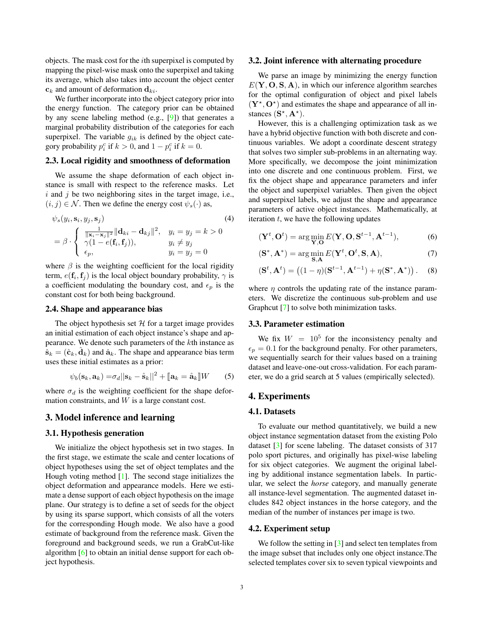objects. The mask cost for the ith superpixel is computed by mapping the pixel-wise mask onto the superpixel and taking its average, which also takes into account the object center  $\mathbf{c}_k$  and amount of deformation  $\mathbf{d}_{ki}$ .

We further incorporate into the object category prior into the energy function. The category prior can be obtained by any scene labeling method (e.g., [9]) that generates a marginal probability distribution of the categories for each superpixel. The variable  $g_{ik}$  is defined by the object category probability  $p_i^c$  if  $k > 0$ , and  $1 - p_i^c$  if  $k = 0$ .

# 2.3. Local rigidity and smoothness of deformation

We assume the shape deformation of each object instance is small with respect to the reference masks. Let  $i$  and  $j$  be two neighboring sites in the target image, i.e.,  $(i, j) \in \mathcal{N}$ . Then we define the energy cost  $\psi_s(\cdot)$  as,

$$
\psi_s(y_i, \mathbf{s}_i, y_j, \mathbf{s}_j)
$$
\n
$$
= \beta \cdot \begin{cases}\n\frac{1}{\|\mathbf{x}_i - \mathbf{x}_j\|^2} \|\mathbf{d}_{ki} - \mathbf{d}_{kj}\|^2, & y_i = y_j = k > 0 \\
\gamma (1 - e(\mathbf{f}_i, \mathbf{f}_j)), & y_i \neq y_j \\
\epsilon_p, & y_i = y_j = 0\n\end{cases}
$$
\n(4)

where  $\beta$  is the weighting coefficient for the local rigidity term,  $e(\mathbf{f}_i, \mathbf{f}_j)$  is the local object boundary probability,  $\gamma$  is a coefficient modulating the boundary cost, and  $\epsilon_p$  is the constant cost for both being background.

#### 2.4. Shape and appearance bias

The object hypothesis set  $H$  for a target image provides an initial estimation of each object instance's shape and appearance. We denote such parameters of the kth instance as  $\hat{\mathbf{s}}_k = (\hat{\mathbf{c}}_k, \hat{\mathbf{d}}_k)$  and  $\hat{\mathbf{a}}_k$ . The shape and appearance bias term uses these initial estimates as a prior:

$$
\psi_b(\mathbf{s}_k, \mathbf{a}_k) = \sigma_d ||\mathbf{s}_k - \hat{\mathbf{s}}_k||^2 + [\![\mathbf{a}_k = \hat{\mathbf{a}}_k]\!] W \qquad (5)
$$

where  $\sigma_d$  is the weighting coefficient for the shape deformation constraints, and W is a large constant cost.

## 3. Model inference and learning

### 3.1. Hypothesis generation

We initialize the object hypothesis set in two stages. In the first stage, we estimate the scale and center locations of object hypotheses using the set of object templates and the Hough voting method [1]. The second stage initializes the object deformation and appearance models. Here we estimate a dense support of each object hypothesis on the image plane. Our strategy is to define a set of seeds for the object by using its sparse support, which consists of all the voters for the corresponding Hough mode. We also have a good estimate of background from the reference mask. Given the foreground and background seeds, we run a GrabCut-like algorithm [6] to obtain an initial dense support for each object hypothesis.

### 3.2. Joint inference with alternating procedure

We parse an image by minimizing the energy function  $E(Y, O, S, A)$ , in which our inference algorithm searches for the optimal configuration of object and pixel labels  $(\mathbf{Y}^*, \mathbf{O}^*)$  and estimates the shape and appearance of all instances  $(\mathbf{S}^*, \mathbf{A}^*)$ .<br>
However, this

However, this is a challenging optimization task as we have a hybrid objective function with both discrete and continuous variables. We adopt a coordinate descent strategy that solves two simpler sub-problems in an alternating way. More specifically, we decompose the joint minimization into one discrete and one continuous problem. First, we fix the object shape and appearance parameters and infer the object and superpixel variables. Then given the object and superpixel labels, we adjust the shape and appearance parameters of active object instances. Mathematically, at iteration  $t$ , we have the following updates

$$
(\mathbf{Y}^t, \mathbf{O}^t) = \arg\min_{\mathbf{Y}, \mathbf{O}} E(\mathbf{Y}, \mathbf{O}, \mathbf{S}^{t-1}, \mathbf{A}^{t-1}),
$$
(6)

$$
(\mathbf{S}^*, \mathbf{A}^*) = \arg\min_{\mathbf{S}, \mathbf{A}} E(\mathbf{Y}^t, \mathbf{O}^t, \mathbf{S}, \mathbf{A}),
$$
(7)

$$
(\mathbf{S}^t, \mathbf{A}^t) = ((1 - \eta)(\mathbf{S}^{t-1}, \mathbf{A}^{t-1}) + \eta(\mathbf{S}^*, \mathbf{A}^*))
$$
 (8)

where  $\eta$  controls the updating rate of the instance parameters. We discretize the continuous sub-problem and use Graphcut [7] to solve both minimization tasks.

### 3.3. Parameter estimation

We fix  $W = 10^5$  for the inconsistency penalty and  $\epsilon_p = 0.1$  for the background penalty. For other parameters, we sequentially search for their values based on a training dataset and leave-one-out cross-validation. For each parameter, we do a grid search at 5 values (empirically selected).

### 4. Experiments

#### 4.1. Datasets

To evaluate our method quantitatively, we build a new object instance segmentation dataset from the existing Polo dataset [3] for scene labeling. The dataset consists of 317 polo sport pictures, and originally has pixel-wise labeling for six object categories. We augment the original labeling by additional instance segmentation labels. In particular, we select the *horse* category, and manually generate all instance-level segmentation. The augmented dataset includes 842 object instances in the horse category, and the median of the number of instances per image is two.

#### 4.2. Experiment setup

We follow the setting in [3] and select ten templates from the image subset that includes only one object instance.The selected templates cover six to seven typical viewpoints and